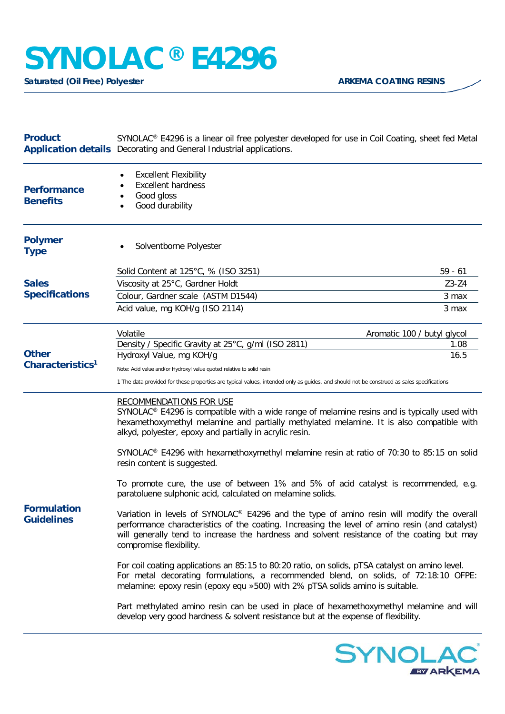## **SYNOLAC® E4296**

**Saturated (Oil Free) Polyester ARKEMA COATING RESINS** 

| <b>Product</b>                               | SYNOLAC® E4296 is a linear oil free polyester developed for use in Coil Coating, sheet fed Metal<br><b>Application details</b> Decorating and General Industrial applications.                                                                                                                                       |           |
|----------------------------------------------|----------------------------------------------------------------------------------------------------------------------------------------------------------------------------------------------------------------------------------------------------------------------------------------------------------------------|-----------|
| <b>Performance</b><br><b>Benefits</b>        | <b>Excellent Flexibility</b><br><b>Excellent hardness</b><br>Good gloss<br>Good durability                                                                                                                                                                                                                           |           |
| <b>Polymer</b><br><b>Type</b>                | Solventborne Polyester                                                                                                                                                                                                                                                                                               |           |
| <b>Sales</b><br><b>Specifications</b>        | Solid Content at 125°C, % (ISO 3251)                                                                                                                                                                                                                                                                                 | $59 - 61$ |
|                                              | Viscosity at 25°C, Gardner Holdt                                                                                                                                                                                                                                                                                     | $Z3-Z4$   |
|                                              | Colour, Gardner scale (ASTM D1544)                                                                                                                                                                                                                                                                                   | 3 max     |
|                                              | Acid value, mg KOH/g (ISO 2114)                                                                                                                                                                                                                                                                                      | 3 max     |
| <b>Other</b><br>Characteristics <sup>1</sup> | Volatile<br>Aromatic 100 / butyl glycol                                                                                                                                                                                                                                                                              |           |
|                                              | Density / Specific Gravity at 25°C, g/ml (ISO 2811)                                                                                                                                                                                                                                                                  | 1.08      |
|                                              | Hydroxyl Value, mg KOH/g                                                                                                                                                                                                                                                                                             | 16.5      |
|                                              | Note: Acid value and/or Hydroxyl value quoted relative to solid resin                                                                                                                                                                                                                                                |           |
|                                              | 1 The data provided for these properties are typical values, intended only as guides, and should not be construed as sales specifications                                                                                                                                                                            |           |
| <b>Formulation</b><br><b>Guidelines</b>      | <b>RECOMMENDATIONS FOR USE</b><br>SYNOLAC® E4296 is compatible with a wide range of melamine resins and is typically used with<br>hexamethoxymethyl melamine and partially methylated melamine. It is also compatible with<br>alkyd, polyester, epoxy and partially in acrylic resin.                                |           |
|                                              | SYNOLAC <sup>®</sup> E4296 with hexamethoxymethyl melamine resin at ratio of 70:30 to 85:15 on solid<br>resin content is suggested.                                                                                                                                                                                  |           |
|                                              | To promote cure, the use of between 1% and 5% of acid catalyst is recommended, e.g.<br>paratoluene sulphonic acid, calculated on melamine solids.                                                                                                                                                                    |           |
|                                              | Variation in levels of SYNOLAC® E4296 and the type of amino resin will modify the overall<br>performance characteristics of the coating. Increasing the level of amino resin (and catalyst)<br>will generally tend to increase the hardness and solvent resistance of the coating but may<br>compromise flexibility. |           |
|                                              | For coil coating applications an 85:15 to 80:20 ratio, on solids, pTSA catalyst on amino level.<br>For metal decorating formulations, a recommended blend, on solids, of 72:18:10 OFPE:<br>melamine: epoxy resin (epoxy equ »500) with 2% pTSA solids amino is suitable.                                             |           |
|                                              | Part methylated amino resin can be used in place of hexamethoxymethyl melamine and will<br>develop very good hardness & solvent resistance but at the expense of flexibility.                                                                                                                                        |           |